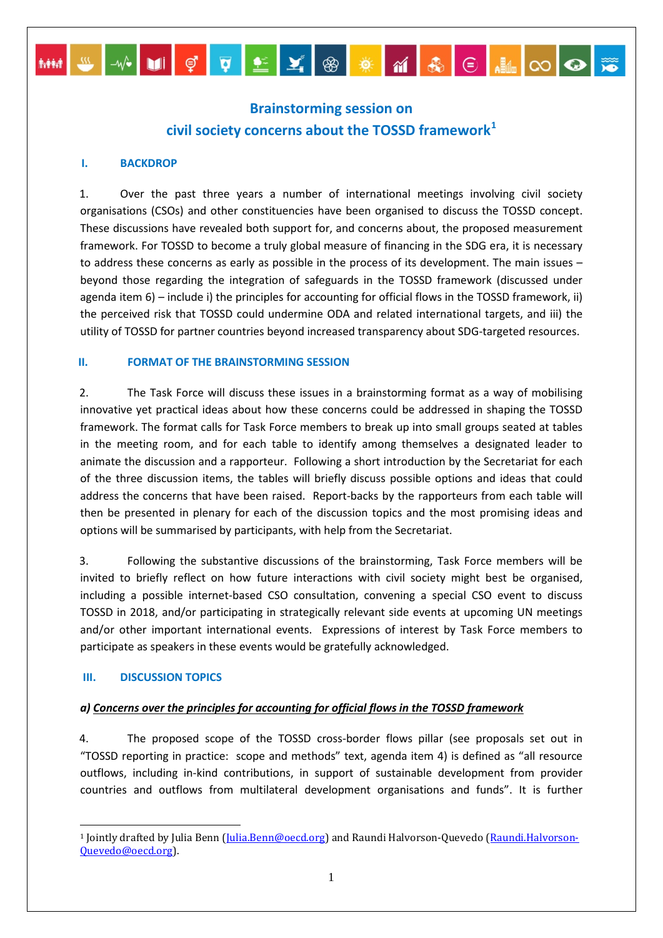# **Brainstorming session on civil society concerns about the TOSSD framework[1](#page-0-0)**

MM W W DI Ç Q <u>L</u> Y ® **\* M &** © HIO O ®

#### **I. BACKDROP**

1. Over the past three years a number of international meetings involving civil society organisations (CSOs) and other constituencies have been organised to discuss the TOSSD concept. These discussions have revealed both support for, and concerns about, the proposed measurement framework. For TOSSD to become a truly global measure of financing in the SDG era, it is necessary to address these concerns as early as possible in the process of its development. The main issues – beyond those regarding the integration of safeguards in the TOSSD framework (discussed under agenda item 6) – include i) the principles for accounting for official flows in the TOSSD framework, ii) the perceived risk that TOSSD could undermine ODA and related international targets, and iii) the utility of TOSSD for partner countries beyond increased transparency about SDG-targeted resources.

#### **II. FORMAT OF THE BRAINSTORMING SESSION**

2. The Task Force will discuss these issues in a brainstorming format as a way of mobilising innovative yet practical ideas about how these concerns could be addressed in shaping the TOSSD framework. The format calls for Task Force members to break up into small groups seated at tables in the meeting room, and for each table to identify among themselves a designated leader to animate the discussion and a rapporteur. Following a short introduction by the Secretariat for each of the three discussion items, the tables will briefly discuss possible options and ideas that could address the concerns that have been raised. Report-backs by the rapporteurs from each table will then be presented in plenary for each of the discussion topics and the most promising ideas and options will be summarised by participants, with help from the Secretariat.

3. Following the substantive discussions of the brainstorming, Task Force members will be invited to briefly reflect on how future interactions with civil society might best be organised, including a possible internet-based CSO consultation, convening a special CSO event to discuss TOSSD in 2018, and/or participating in strategically relevant side events at upcoming UN meetings and/or other important international events. Expressions of interest by Task Force members to participate as speakers in these events would be gratefully acknowledged.

#### **III. DISCUSSION TOPICS**

### *a) Concerns over the principles for accounting for official flows in the TOSSD framework*

4. The proposed scope of the TOSSD cross-border flows pillar (see proposals set out in "TOSSD reporting in practice: scope and methods" text, agenda item 4) is defined as "all resource outflows, including in-kind contributions, in support of sustainable development from provider countries and outflows from multilateral development organisations and funds". It is further

<span id="page-0-0"></span><sup>-</sup><sup>1</sup> Jointly drafted by Julia Benn [\(Julia.Benn@oecd.org\)](mailto:Julia.Benn@oecd.org) and Raundi Halvorson-Quevedo [\(Raundi.Halvorson-](mailto:Raundi.Halvorson-Quevedo@oecd.org)[Quevedo@oecd.org\)](mailto:Raundi.Halvorson-Quevedo@oecd.org).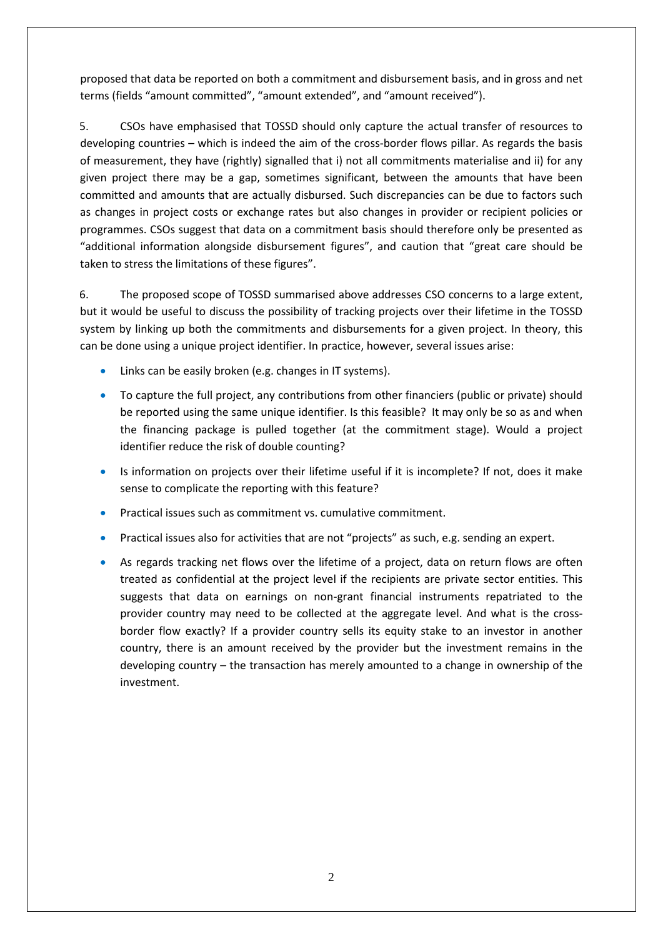proposed that data be reported on both a commitment and disbursement basis, and in gross and net terms (fields "amount committed", "amount extended", and "amount received").

5. CSOs have emphasised that TOSSD should only capture the actual transfer of resources to developing countries – which is indeed the aim of the cross-border flows pillar. As regards the basis of measurement, they have (rightly) signalled that i) not all commitments materialise and ii) for any given project there may be a gap, sometimes significant, between the amounts that have been committed and amounts that are actually disbursed. Such discrepancies can be due to factors such as changes in project costs or exchange rates but also changes in provider or recipient policies or programmes. CSOs suggest that data on a commitment basis should therefore only be presented as "additional information alongside disbursement figures", and caution that "great care should be taken to stress the limitations of these figures".

6. The proposed scope of TOSSD summarised above addresses CSO concerns to a large extent, but it would be useful to discuss the possibility of tracking projects over their lifetime in the TOSSD system by linking up both the commitments and disbursements for a given project. In theory, this can be done using a unique project identifier. In practice, however, several issues arise:

- Links can be easily broken (e.g. changes in IT systems).
- To capture the full project, any contributions from other financiers (public or private) should be reported using the same unique identifier. Is this feasible? It may only be so as and when the financing package is pulled together (at the commitment stage). Would a project identifier reduce the risk of double counting?
- Is information on projects over their lifetime useful if it is incomplete? If not, does it make sense to complicate the reporting with this feature?
- Practical issues such as commitment vs. cumulative commitment.
- Practical issues also for activities that are not "projects" as such, e.g. sending an expert.
- As regards tracking net flows over the lifetime of a project, data on return flows are often treated as confidential at the project level if the recipients are private sector entities. This suggests that data on earnings on non-grant financial instruments repatriated to the provider country may need to be collected at the aggregate level. And what is the crossborder flow exactly? If a provider country sells its equity stake to an investor in another country, there is an amount received by the provider but the investment remains in the developing country – the transaction has merely amounted to a change in ownership of the investment.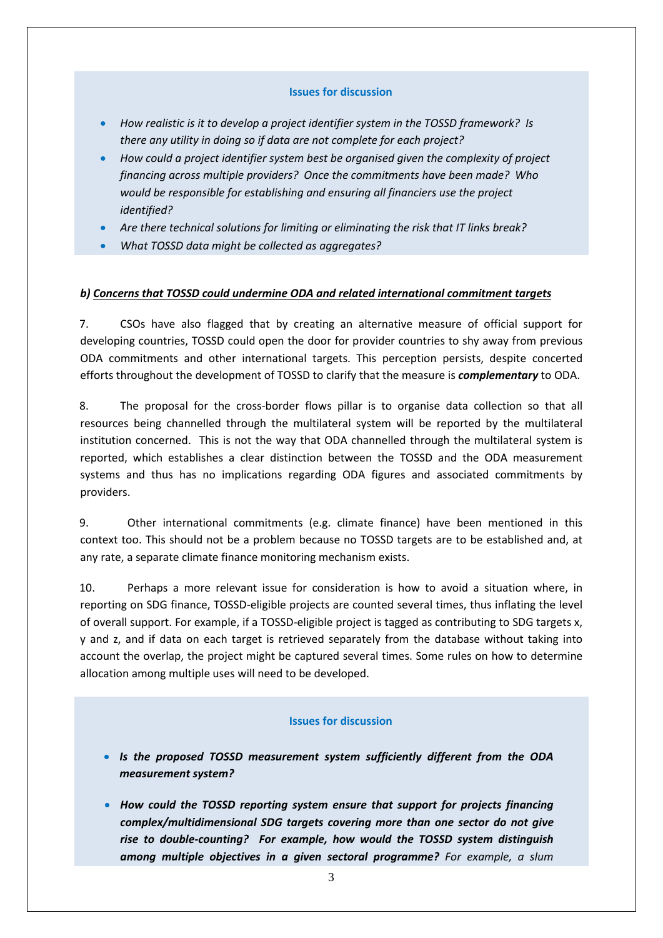#### **Issues for discussion**

- *How realistic is it to develop a project identifier system in the TOSSD framework? Is there any utility in doing so if data are not complete for each project?*
- *How could a project identifier system best be organised given the complexity of project financing across multiple providers? Once the commitments have been made? Who would be responsible for establishing and ensuring all financiers use the project identified?*
- *Are there technical solutions for limiting or eliminating the risk that IT links break?*
- *What TOSSD data might be collected as aggregates?*

#### *b) Concerns that TOSSD could undermine ODA and related international commitment targets*

7. CSOs have also flagged that by creating an alternative measure of official support for developing countries, TOSSD could open the door for provider countries to shy away from previous ODA commitments and other international targets. This perception persists, despite concerted efforts throughout the development of TOSSD to clarify that the measure is *complementary* to ODA.

8. The proposal for the cross-border flows pillar is to organise data collection so that all resources being channelled through the multilateral system will be reported by the multilateral institution concerned. This is not the way that ODA channelled through the multilateral system is reported, which establishes a clear distinction between the TOSSD and the ODA measurement systems and thus has no implications regarding ODA figures and associated commitments by providers.

9. Other international commitments (e.g. climate finance) have been mentioned in this context too. This should not be a problem because no TOSSD targets are to be established and, at any rate, a separate climate finance monitoring mechanism exists.

10. Perhaps a more relevant issue for consideration is how to avoid a situation where, in reporting on SDG finance, TOSSD-eligible projects are counted several times, thus inflating the level of overall support. For example, if a TOSSD-eligible project is tagged as contributing to SDG targets x, y and z, and if data on each target is retrieved separately from the database without taking into account the overlap, the project might be captured several times. Some rules on how to determine allocation among multiple uses will need to be developed.

#### **Issues for discussion**

- *Is the proposed TOSSD measurement system sufficiently different from the ODA measurement system?*
- *How could the TOSSD reporting system ensure that support for projects financing complex/multidimensional SDG targets covering more than one sector do not give rise to double-counting? For example, how would the TOSSD system distinguish among multiple objectives in a given sectoral programme? For example, a slum*